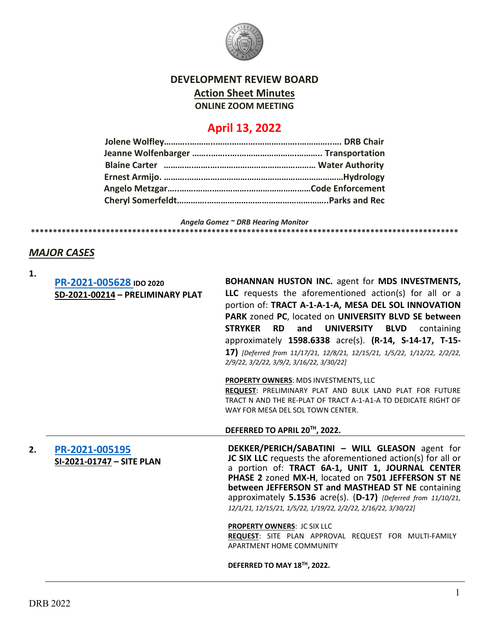

# **DEVELOPMENT REVIEW BOARD Action Sheet Minutes ONLINE ZOOM MEETING**

# **April 13, 2022**

*Angela Gomez ~ DRB Hearing Monitor* **\*\*\*\*\*\*\*\*\*\*\*\*\*\*\*\*\*\*\*\*\*\*\*\*\*\*\*\*\*\*\*\*\*\*\*\*\*\*\*\*\*\*\*\*\*\*\*\*\*\*\*\*\*\*\*\*\*\*\*\*\*\*\*\*\*\*\*\*\*\*\*\*\*\*\*\*\*\*\*\*\*\*\*\*\*\*\*\*\*\*\*\*\*\*\*\*\***

# *MAJOR CASES*

| ۰. |  |
|----|--|
|    |  |

|    | PR-2021-005628 IDO 2020<br>SD-2021-00214 - PRELIMINARY PLAT | <b>BOHANNAN HUSTON INC. agent for MDS INVESTMENTS,</b><br>LLC requests the aforementioned action(s) for all or a<br>portion of: TRACT A-1-A-1-A, MESA DEL SOL INNOVATION<br>PARK zoned PC, located on UNIVERSITY BLVD SE between<br><b>STRYKER</b><br><b>RD</b><br><b>UNIVERSITY</b><br><b>BLVD</b><br>and<br>containing<br>approximately 1598.6338 acre(s). (R-14, S-14-17, T-15-<br>17) [Deferred from 11/17/21, 12/8/21, 12/15/21, 1/5/22, 1/12/22, 2/2/22,<br>2/9/22, 3/2/22, 3/9/2, 3/16/22, 3/30/22]<br>PROPERTY OWNERS: MDS INVESTMENTS, LLC |
|----|-------------------------------------------------------------|-----------------------------------------------------------------------------------------------------------------------------------------------------------------------------------------------------------------------------------------------------------------------------------------------------------------------------------------------------------------------------------------------------------------------------------------------------------------------------------------------------------------------------------------------------|
|    |                                                             | REQUEST: PRELIMINARY PLAT AND BULK LAND PLAT FOR FUTURE<br>TRACT N AND THE RE-PLAT OF TRACT A-1-A1-A TO DEDICATE RIGHT OF<br>WAY FOR MESA DEL SOL TOWN CENTER.                                                                                                                                                                                                                                                                                                                                                                                      |
|    |                                                             | DEFERRED TO APRIL 20TH, 2022.                                                                                                                                                                                                                                                                                                                                                                                                                                                                                                                       |
| 2. | PR-2021-005195<br>SI-2021-01747 - SITE PLAN                 | DEKKER/PERICH/SABATINI - WILL GLEASON agent for<br>JC SIX LLC requests the aforementioned action(s) for all or<br>a portion of: TRACT 6A-1, UNIT 1, JOURNAL CENTER<br>PHASE 2 zoned MX-H, located on 7501 JEFFERSON ST NE<br>between JEFFERSON ST and MASTHEAD ST NE containing<br>approximately 5.1536 acre(s). (D-17) [Deferred from 11/10/21,<br>12/1/21, 12/15/21, 1/5/22, 1/19/22, 2/2/22, 2/16/22, 3/30/22]                                                                                                                                   |
|    |                                                             | PROPERTY OWNERS: JC SIX LLC<br>REQUEST: SITE PLAN APPROVAL REQUEST FOR MULTI-FAMILY<br>APARTMENT HOME COMMUNITY                                                                                                                                                                                                                                                                                                                                                                                                                                     |
|    |                                                             | DEFERRED TO MAY 18™, 2022.                                                                                                                                                                                                                                                                                                                                                                                                                                                                                                                          |
|    |                                                             |                                                                                                                                                                                                                                                                                                                                                                                                                                                                                                                                                     |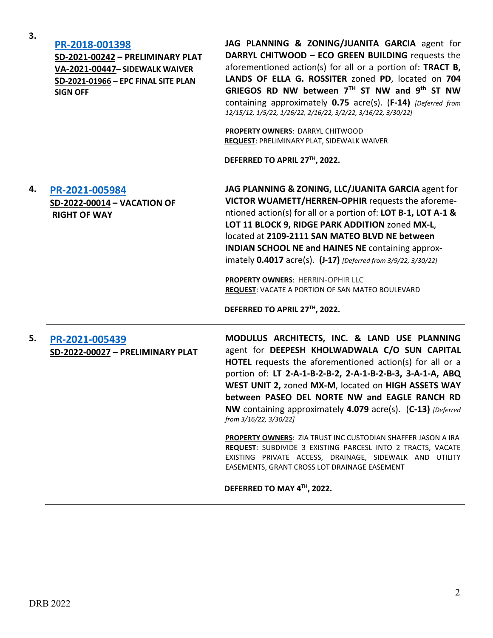| DDB 2022 |  |
|----------|--|

| PR-2018-001398<br>SD-2021-00242 - PRELIMINARY PLAT<br>VA-2021-00447- SIDEWALK WAIVER<br>SD-2021-01966 - EPC FINAL SITE PLAN<br><b>SIGN OFF</b> | JAG PLANNING & ZONING/JUANITA GARCIA agent for<br>DARRYL CHITWOOD - ECO GREEN BUILDING requests the<br>aforementioned action(s) for all or a portion of: TRACT B,<br>LANDS OF ELLA G. ROSSITER zoned PD, located on 704<br>GRIEGOS RD NW between 7TH ST NW and 9th ST NW<br>containing approximately 0.75 acre(s). (F-14) [Deferred from<br>12/15/12, 1/5/22, 1/26/22, 2/16/22, 3/2/22, 3/16/22, 3/30/22] |
|------------------------------------------------------------------------------------------------------------------------------------------------|-----------------------------------------------------------------------------------------------------------------------------------------------------------------------------------------------------------------------------------------------------------------------------------------------------------------------------------------------------------------------------------------------------------|
|                                                                                                                                                | <b>PROPERTY OWNERS: DARRYL CHITWOOD</b><br><b>REQUEST: PRELIMINARY PLAT, SIDEWALK WAIVER</b>                                                                                                                                                                                                                                                                                                              |
|                                                                                                                                                | DEFERRED TO APRIL 27™, 2022.                                                                                                                                                                                                                                                                                                                                                                              |

**4. [PR-2021-005984](http://data.cabq.gov/government/planning/DRB/PR-2021-005984/DRB%20Submittals/) SD-2022-00014 – VACATION OF RIGHT OF WAY**

**3.**

**JAG PLANNING & ZONING, LLC/JUANITA GARCIA** agent for **VICTOR WUAMETT/HERREN-OPHIR** requests the aforementioned action(s) for all or a portion of: **LOT B-1, LOT A-1 & LOT 11 BLOCK 9, RIDGE PARK ADDITION** zoned **MX-L**, located at **2109-2111 SAN MATEO BLVD NE between INDIAN SCHOOL NE and HAINES NE** containing approximately **0.4017** acre(s). **(J-17)** *[Deferred from 3/9/22, 3/30/22]*

**PROPERTY OWNERS**: HERRIN-OPHIR LLC **REQUEST**: VACATE A PORTION OF SAN MATEO BOULEVARD

**DEFERRED TO APRIL 27TH, 2022.**

**5. [PR-2021-005439](http://data.cabq.gov/government/planning/DRB/PR-2021-005439/DRB%20Submittals/) SD-2022-00027 – PRELIMINARY PLAT MODULUS ARCHITECTS, INC. & LAND USE PLANNING** agent for **DEEPESH KHOLWADWALA C/O SUN CAPITAL HOTEL** requests the aforementioned action(s) for all or a portion of: **LT 2-A-1-B-2-B-2, 2-A-1-B-2-B-3, 3-A-1-A, ABQ WEST UNIT 2,** zoned **MX-M**, located on **HIGH ASSETS WAY between PASEO DEL NORTE NW and EAGLE RANCH RD NW** containing approximately **4.079** acre(s). (**C-13)** *[Deferred from 3/16/22, 3/30/22]*

**PROPERTY OWNERS**: ZIA TRUST INC CUSTODIAN SHAFFER JASON A IRA **REQUEST**: SUBDIVIDE 3 EXISTING PARCESL INTO 2 TRACTS, VACATE EXISTING PRIVATE ACCESS, DRAINAGE, SIDEWALK AND UTILITY EASEMENTS, GRANT CROSS LOT DRAINAGE EASEMENT

**DEFERRED TO MAY 4TH, 2022.**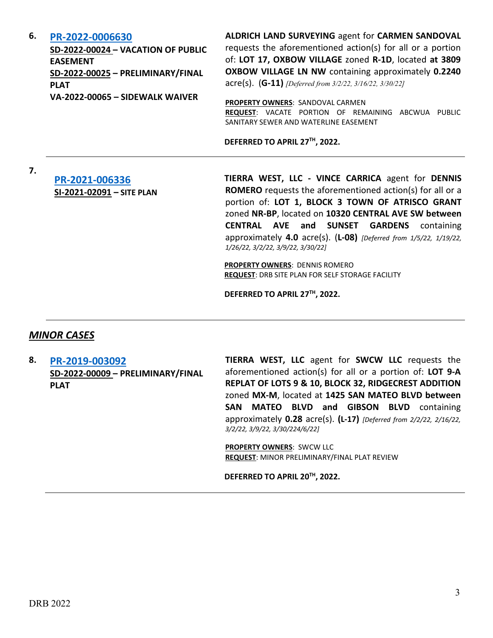#### **6. [PR-2022-0006630](http://data.cabq.gov/government/planning/DRB/PR-2022-006630/DRB%20Submittals/PR-2022-006630_April_13_2022_Supp/)**

**SD-2022-00024 – VACATION OF PUBLIC EASEMENT SD-2022-00025 – PRELIMINARY/FINAL PLAT VA-2022-00065 – SIDEWALK WAIVER**

**ALDRICH LAND SURVEYING** agent for **CARMEN SANDOVAL** requests the aforementioned action(s) for all or a portion of: **LOT 17, OXBOW VILLAGE** zoned **R-1D**, located **at 3809 OXBOW VILLAGE LN NW** containing approximately **0.2240** acre(s). (**G-11)** *[Deferred from 3/2/22, 3/16/22, 3/30/22]*

**PROPERTY OWNERS**: SANDOVAL CARMEN **REQUEST**: VACATE PORTION OF REMAINING ABCWUA PUBLIC SANITARY SEWER AND WATERLINE EASEMENT

**DEFERRED TO APRIL 27TH, 2022.**

# **[PR-2021-006336](http://data.cabq.gov/government/planning/DRB/PR-2021-006336/DRB%20Submittals/) SI-2021-02091 – SITE PLAN**

**TIERRA WEST, LLC - VINCE CARRICA** agent for **DENNIS ROMERO** requests the aforementioned action(s) for all or a portion of: **LOT 1, BLOCK 3 TOWN OF ATRISCO GRANT**  zoned **NR-BP**, located on **10320 CENTRAL AVE SW between CENTRAL AVE and SUNSET GARDENS** containing approximately **4.0** acre(s). (**L-08)** *[Deferred from 1/5/22, 1/19/22, 1/26/22, 3/2/22, 3/9/22, 3/30/22]*

**PROPERTY OWNERS**: DENNIS ROMERO **REQUEST**: DRB SITE PLAN FOR SELF STORAGE FACILITY

**DEFERRED TO APRIL 27TH, 2022.**

### *MINOR CASES*

**7.**

**8. [PR-2019-003092](http://data.cabq.gov/government/planning/DRB/PR-2019-003092/DRB%20Submittals/) SD-2022-00009 – PRELIMINARY/FINAL PLAT**

**TIERRA WEST, LLC** agent for **SWCW LLC** requests the aforementioned action(s) for all or a portion of: **LOT 9-A REPLAT OF LOTS 9 & 10, BLOCK 32, RIDGECREST ADDITION**  zoned **MX-M**, located at **1425 SAN MATEO BLVD between SAN MATEO BLVD and GIBSON BLVD** containing approximately **0.28** acre(s). **(L-17)** *[Deferred from 2/2/22, 2/16/22, 3/2/22, 3/9/22, 3/30/224/6/22]*

**PROPERTY OWNERS**: SWCW LLC **REQUEST**: MINOR PRELIMINARY/FINAL PLAT REVIEW

**DEFERRED TO APRIL 20TH, 2022.**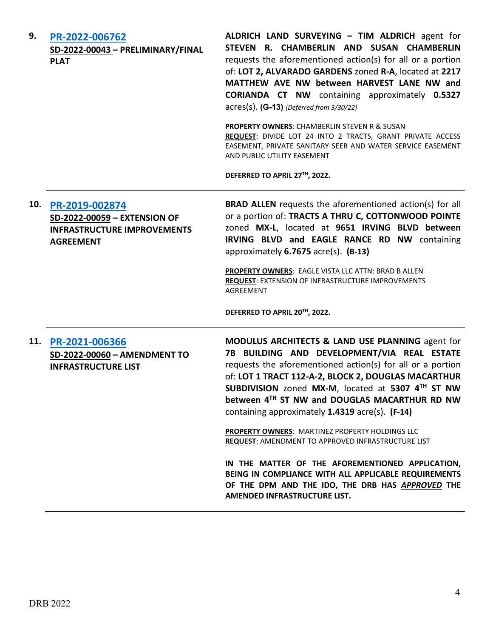| 9.  | PR-2022-006762<br>SD-2022-00043 - PRELIMINARY/FINAL<br><b>PLAT</b>                                       | ALDRICH LAND SURVEYING - TIM ALDRICH agent for<br>STEVEN R. CHAMBERLIN AND SUSAN CHAMBERLIN<br>requests the aforementioned action(s) for all or a portion<br>of: LOT 2, ALVARADO GARDENS zoned R-A, located at 2217<br>MATTHEW AVE NW between HARVEST LANE NW and<br><b>CORIANDA CT NW</b> containing approximately 0.5327<br>acres(s). (G-13) [Deferred from 3/30/22]<br>PROPERTY OWNERS: CHAMBERLIN STEVEN R & SUSAN<br>REQUEST: DIVIDE LOT 24 INTO 2 TRACTS, GRANT PRIVATE ACCESS<br>EASEMENT, PRIVATE SANITARY SEER AND WATER SERVICE EASEMENT<br>AND PUBLIC UTILITY EASEMENT<br>DEFERRED TO APRIL 27TH, 2022. |
|-----|----------------------------------------------------------------------------------------------------------|--------------------------------------------------------------------------------------------------------------------------------------------------------------------------------------------------------------------------------------------------------------------------------------------------------------------------------------------------------------------------------------------------------------------------------------------------------------------------------------------------------------------------------------------------------------------------------------------------------------------|
| 10. | PR-2019-002874<br>SD-2022-00059 - EXTENSION OF<br><b>INFRASTRUCTURE IMPROVEMENTS</b><br><b>AGREEMENT</b> | <b>BRAD ALLEN</b> requests the aforementioned action(s) for all<br>or a portion of: TRACTS A THRU C, COTTONWOOD POINTE<br>zoned MX-L, located at 9651 IRVING BLVD between<br>IRVING BLVD and EAGLE RANCE RD NW containing<br>approximately 6.7675 acre(s). (B-13)<br>PROPERTY OWNERS: EAGLE VISTA LLC ATTN: BRAD B ALLEN<br><b>REQUEST: EXTENSION OF INFRASTRUCTURE IMPROVEMENTS</b><br>AGREEMENT<br>DEFERRED TO APRIL 20TH, 2022.                                                                                                                                                                                 |
| 11. | PR-2021-006366<br>SD-2022-00060 - AMENDMENT TO<br><b>INFRASTRUCTURE LIST</b>                             | MODULUS ARCHITECTS & LAND USE PLANNING agent for<br>7B BUILDING AND DEVELOPMENT/VIA REAL ESTATE<br>requests the aforementioned action(s) for all or a portion<br>of: LOT 1 TRACT 112-A-2, BLOCK 2, DOUGLAS MACARTHUR<br>SUBDIVISION zoned MX-M, located at 5307 4TH ST NW<br>between 4TH ST NW and DOUGLAS MACARTHUR RD NW<br>containing approximately 1.4319 acre(s). (F-14)                                                                                                                                                                                                                                      |
|     |                                                                                                          | <b>PROPERTY OWNERS: MARTINEZ PROPERTY HOLDINGS LLC</b><br><b>REQUEST: AMENDMENT TO APPROVED INFRASTRUCTURE LIST</b><br>IN THE MATTER OF THE AFOREMENTIONED APPLICATION,<br>BEING IN COMPLIANCE WITH ALL APPLICABLE REQUIREMENTS<br>OF THE DPM AND THE IDO, THE DRB HAS APPROVED THE<br>AMENDED INFRASTRUCTURE LIST.                                                                                                                                                                                                                                                                                                |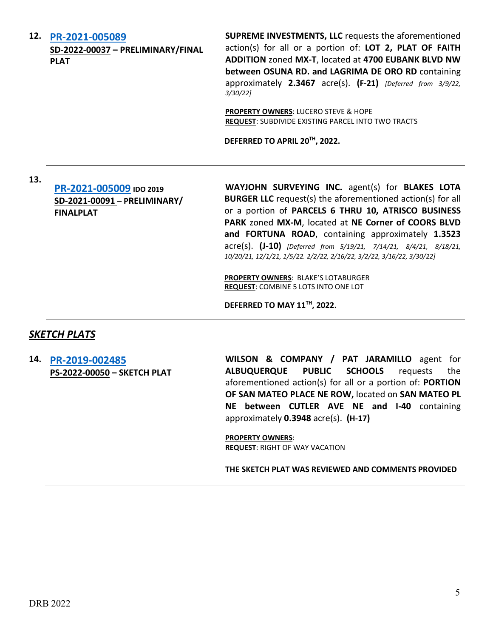**12. [PR-2021-005089](http://data.cabq.gov/government/planning/DRB/PR-2021-005089/DRB%20Submittals/)  SD-2022-00037 – PRELIMINARY/FINAL PLAT**

**SUPREME INVESTMENTS, LLC** requests the aforementioned action(s) for all or a portion of: **LOT 2, PLAT OF FAITH ADDITION** zoned **MX-T**, located at **4700 EUBANK BLVD NW between OSUNA RD. and LAGRIMA DE ORO RD** containing approximately **2.3467** acre(s). **(F-21)** *[Deferred from 3/9/22, 3/30/22]* 

**PROPERTY OWNERS**: LUCERO STEVE & HOPE **REQUEST**: SUBDIVIDE EXISTING PARCEL INTO TWO TRACTS

**DEFERRED TO APRIL 20TH, 2022.**

**13.**

**[PR-2021-005009](http://data.cabq.gov/government/planning/DRB/PR-2021-005009/DRB%20Submittals/) IDO 2019 SD-2021-00091 – PRELIMINARY/ FINALPLAT**

**WAYJOHN SURVEYING INC.** agent(s) for **BLAKES LOTA BURGER LLC** request(s) the aforementioned action(s) for all or a portion of **PARCELS 6 THRU 10, ATRISCO BUSINESS PARK** zoned **MX-M**, located at **NE Corner of COORS BLVD and FORTUNA ROAD**, containing approximately **1.3523** acre(s). **(J-10)** *[Deferred from 5/19/21, 7/14/21, 8/4/21, 8/18/21, 10/20/21, 12/1/21, 1/5/22. 2/2/22, 2/16/22, 3/2/22, 3/16/22, 3/30/22]*

**PROPERTY OWNERS**: BLAKE'S LOTABURGER **REQUEST**: COMBINE 5 LOTS INTO ONE LOT

**DEFERRED TO MAY 11TH, 2022.**

#### *SKETCH PLATS*

**14. [PR-2019-002485](http://data.cabq.gov/government/planning/DRB/PR-2019-002485/DRB%20Submittals/PR-2019-002485_April_13_2022%20(Sketch)/SK_PLT%20submittal%20ALL.pdf) PS-2022-00050 – SKETCH PLAT** **WILSON & COMPANY / PAT JARAMILLO** agent for **ALBUQUERQUE PUBLIC SCHOOLS** requests the aforementioned action(s) for all or a portion of: **PORTION OF SAN MATEO PLACE NE ROW,** located on **SAN MATEO PL NE between CUTLER AVE NE and I-40** containing approximately **0.3948** acre(s). **(H-17)** 

**PROPERTY OWNERS**: **REQUEST**: RIGHT OF WAY VACATION

**THE SKETCH PLAT WAS REVIEWED AND COMMENTS PROVIDED**